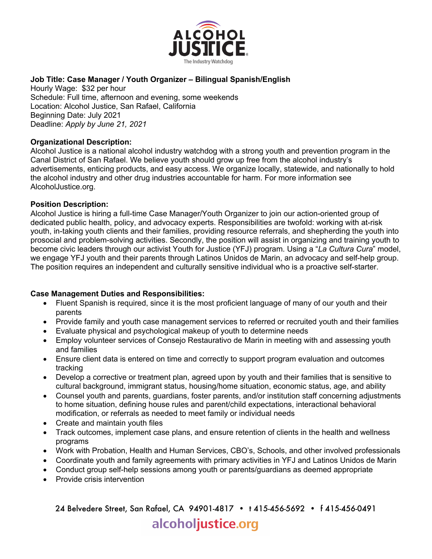

# **Job Title: Case Manager / Youth Organizer – Bilingual Spanish/English**

Hourly Wage: \$32 per hour Schedule: Full time, afternoon and evening, some weekends Location: Alcohol Justice, San Rafael, California Beginning Date: July 2021 Deadline: *Apply by June 21, 2021*

## **Organizational Description:**

Alcohol Justice is a national alcohol industry watchdog with a strong youth and prevention program in the Canal District of San Rafael. We believe youth should grow up free from the alcohol industry's advertisements, enticing products, and easy access. We organize locally, statewide, and nationally to hold the alcohol industry and other drug industries accountable for harm. For more information see AlcoholJustice.org.

#### **Position Description:**

Alcohol Justice is hiring a full-time Case Manager/Youth Organizer to join our action-oriented group of dedicated public health, policy, and advocacy experts. Responsibilities are twofold: working with at-risk youth, in-taking youth clients and their families, providing resource referrals, and shepherding the youth into prosocial and problem-solving activities. Secondly, the position will assist in organizing and training youth to become civic leaders through our activist Youth for Justice (YFJ) program. Using a "*La Cultura Cura*" model, we engage YFJ youth and their parents through Latinos Unidos de Marin, an advocacy and self-help group. The position requires an independent and culturally sensitive individual who is a proactive self-starter.

## **Case Management Duties and Responsibilities:**

- Fluent Spanish is required, since it is the most proficient language of many of our youth and their parents
- Provide family and youth case management services to referred or recruited youth and their families
- Evaluate physical and psychological makeup of youth to determine needs
- Employ volunteer services of Consejo Restaurativo de Marin in meeting with and assessing youth and families
- Ensure client data is entered on time and correctly to support program evaluation and outcomes tracking
- Develop a corrective or treatment plan, agreed upon by youth and their families that is sensitive to cultural background, immigrant status, housing/home situation, economic status, age, and ability
- Counsel youth and parents, guardians, foster parents, and/or institution staff concerning adjustments to home situation, defining house rules and parent/child expectations, interactional behavioral modification, or referrals as needed to meet family or individual needs
- Create and maintain youth files
- Track outcomes, implement case plans, and ensure retention of clients in the health and wellness programs
- Work with Probation, Health and Human Services, CBO's, Schools, and other involved professionals
- Coordinate youth and family agreements with primary activities in YFJ and Latinos Unidos de Marin
- Conduct group self-help sessions among youth or parents/guardians as deemed appropriate
- Provide crisis intervention

24 Belvedere Street, San Rafael, CA 94901-4817 • t 415-456-5692 • f 415-456-0491 alcoholjustice.org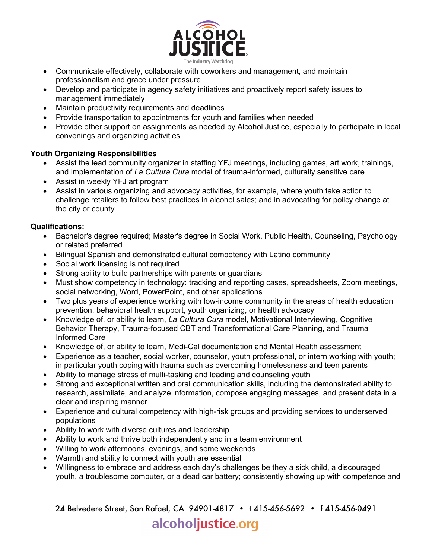

- Communicate effectively, collaborate with coworkers and management, and maintain professionalism and grace under pressure
- Develop and participate in agency safety initiatives and proactively report safety issues to management immediately
- Maintain productivity requirements and deadlines
- Provide transportation to appointments for youth and families when needed
- Provide other support on assignments as needed by Alcohol Justice, especially to participate in local convenings and organizing activities

## **Youth Organizing Responsibilities**

- Assist the lead community organizer in staffing YFJ meetings, including games, art work, trainings, and implementation of *La Cultura Cura* model of trauma-informed, culturally sensitive care
- Assist in weekly YFJ art program
- Assist in various organizing and advocacy activities, for example, where youth take action to challenge retailers to follow best practices in alcohol sales; and in advocating for policy change at the city or county

## **Qualifications:**

- Bachelor's degree required; Master's degree in Social Work, Public Health, Counseling, Psychology or related preferred
- Bilingual Spanish and demonstrated cultural competency with Latino community
- Social work licensing is not required
- Strong ability to build partnerships with parents or guardians
- Must show competency in technology: tracking and reporting cases, spreadsheets, Zoom meetings, social networking, Word, PowerPoint, and other applications
- Two plus years of experience working with low-income community in the areas of health education prevention, behavioral health support, youth organizing, or health advocacy
- Knowledge of, or ability to learn, *La Cultura Cura* model, Motivational Interviewing, Cognitive Behavior Therapy, Trauma-focused CBT and Transformational Care Planning, and Trauma Informed Care
- Knowledge of, or ability to learn, Medi-Cal documentation and Mental Health assessment
- Experience as a teacher, social worker, counselor, youth professional, or intern working with youth; in particular youth coping with trauma such as overcoming homelessness and teen parents
- Ability to manage stress of multi-tasking and leading and counseling youth
- Strong and exceptional written and oral communication skills, including the demonstrated ability to research, assimilate, and analyze information, compose engaging messages, and present data in a clear and inspiring manner
- Experience and cultural competency with high-risk groups and providing services to underserved populations
- Ability to work with diverse cultures and leadership
- Ability to work and thrive both independently and in a team environment
- Willing to work afternoons, evenings, and some weekends
- Warmth and ability to connect with youth are essential
- Willingness to embrace and address each day's challenges be they a sick child, a discouraged youth, a troublesome computer, or a dead car battery; consistently showing up with competence and

24 Belvedere Street, San Rafael, CA 94901-4817 • t 415-456-5692 • f 415-456-0491

# alcoholjustice.org